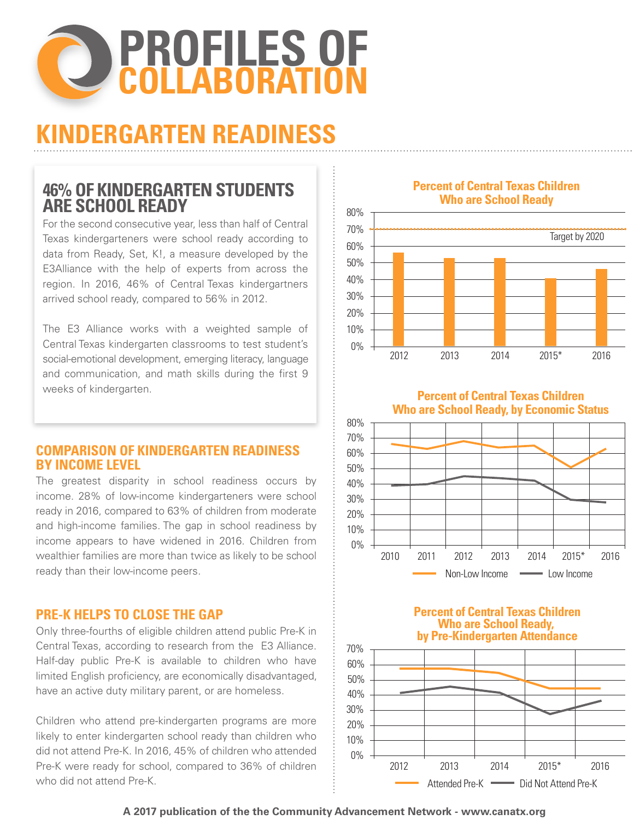

# **KINDERGARTEN READINESS**

# **46% OF KINDERGARTEN STUDENTS ARE SCHOOL READY**

For the second consecutive year, less than half of Central Texas kindergarteners were school ready according to data from Ready, Set, K!, a measure developed by the E3Alliance with the help of experts from across the region. In 2016, 46% of Central Texas kindergartners arrived school ready, compared to 56% in 2012.

The E3 Alliance works with a weighted sample of Central Texas kindergarten classrooms to test student's social-emotional development, emerging literacy, language and communication, and math skills during the first 9 weeks of kindergarten.

# **COMPARISON OF KINDERGARTEN READINESS BY INCOME LEVEL**

The greatest disparity in school readiness occurs by income. 28% of low-income kindergarteners were school ready in 2016, compared to 63% of children from moderate and high-income families. The gap in school readiness by income appears to have widened in 2016. Children from wealthier families are more than twice as likely to be school ready than their low-income peers.

# **PRE-K HELPS TO CLOSE THE GAP**

Only three-fourths of eligible children attend public Pre-K in Central Texas, according to research from the E3 Alliance. Half-day public Pre-K is available to children who have limited English proficiency, are economically disadvantaged, have an active duty military parent, or are homeless.

Children who attend pre-kindergarten programs are more likely to enter kindergarten school ready than children who did not attend Pre-K. In 2016, 45% of children who attended Pre-K were ready for school, compared to 36% of children who did not attend Pre-K.

**Percent of Central Texas Children Who are School Ready**



**Percent of Central Texas Children Who are School Ready, by Economic Status**







**A 2017 publication of the the Community Advancement Network - www.canatx.org**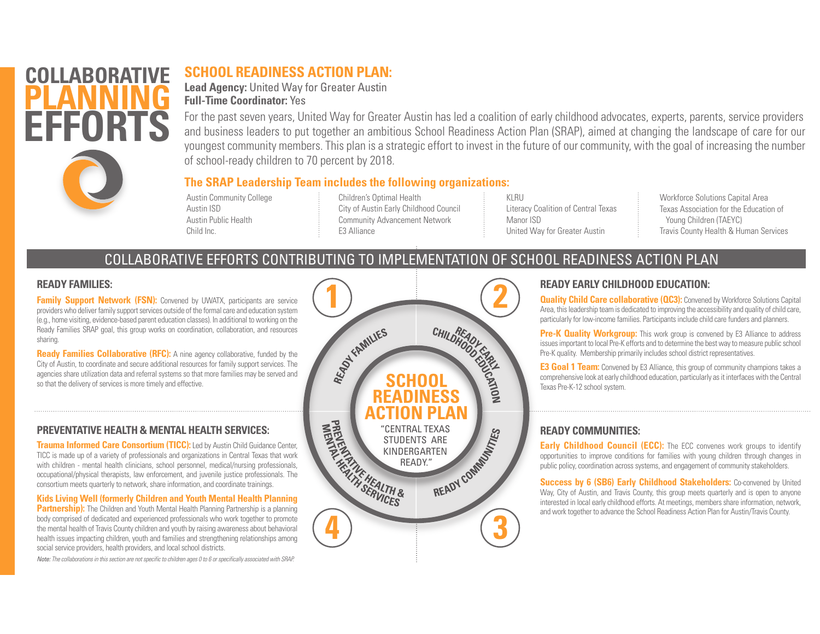# **COLLABORATI PLANNINGEFFORTS**

# **SCHOOL READINESS ACTION PLAN:**

**Lead Agency:** United Way for Greater Austin **Full-Time Coordinator:** Yes

For the past seven years, United Way for Greater Austin has led a coalition of early childhood advocates, experts, parents, service providers and business leaders to put together an ambitious School Readiness Action Plan (SRAP), aimed at changing the landscape of care for our youngest community members. This plan is a strategic effort to invest in the future of our community, with the goal of increasing the number of school-ready children to 70 percent by 2018.

#### **The SRAP Leadership Team includes the following organizations:**

Austin Community College Austin ISDAustin Public HealthChild Inc.

Children's Optimal Health City of Austin Early Childhood Council Community Advancement Network E3 Alliance

KLRULiteracy Coalition of Central Texas Manor ISDUnited Way for Greater Austin

Workforce Solutions Capital Area Texas Association for the Education of Young Children (TAEYC) Travis County Health & Human Services

# COLLABORATIVE EFFORTS CONTRIBUTING TO IMPLEMENTATION OF SCHOOL READINESS ACTION PLAN

#### **READY FAMILIES:**

**Family Support Network (FSN):** Convened by UWATX, participants are service providers who deliver family support services outside of the formal care and education system (e.g., home visiting, evidence-based parent education classes). In additional to working on the Ready Families SRAP goal, this group works on coordination, collaboration, and resources sharing.

**Ready Families Collaborative (RFC):** A nine agency collaborative, funded by the City of Austin, to coordinate and secure additional resources for family support services. The agencies share utilization data and referral systems so that more families may be served and so that the delivery of services is more timely and effective.

### **PREVENTATIVE HEALTH & MENTAL HEALTH SERVICES:**

**Trauma Informed Care Consortium (TICC):** Led by Austin Child Guidance Center, TICC is made up of a variety of professionals and organizations in Central Texas that work with children - mental health clinicians, school personnel, medical/nursing professionals, occupational/physical therapists, law enforcement, and juvenile justice professionals. The consortium meets quarterly to network, share information, and coordinate trainings.

**Kids Living Well (formerly Children and Youth Mental Health Planning** 

**Partnership):** The Children and Youth Mental Health Planning Partnership is a planning body comprised of dedicated and experienced professionals who work together to promote the mental health of Travis County children and youth by raising awareness about behavioral health issues impacting children, youth and families and strengthening relationships among social service providers, health providers, and local school districts.

*Note: The collaborations in this section are not specific to children ages 0 to 6 or specifically associated with SRAP.*



### **READY EARLY CHILDHOOD EDUCATION:**

**Quality Child Care collaborative (QC3):** Convened by Workforce Solutions Capital Area, this leadership team is dedicated to improving the accessibility and quality of child care, particularly for low-income families. Participants include child care funders and planners.

**Pre-K Quality Workgroup:** This work group is convened by E3 Alliance to address issues important to local Pre-K efforts and to determine the best way to measure public school Pre-K quality. Membership primarily includes school district representatives.

**E3 Goal 1 Team:** Convened by E3 Alliance, this group of community champions takes a comprehensive look at early childhood education, particularly as it interfaces with the Central Texas Pre-K-12 school system.

### **READY COMMUNITIES:**

**Early Childhood Council (ECC):** The ECC convenes work groups to identify opportunities to improve conditions for families with young children through changes in public policy, coordination across systems, and engagement of community stakeholders.

**Success by 6 (SB6) Early Childhood Stakeholders:** Co-convened by United Way, City of Austin, and Travis County, this group meets quarterly and is open to anyone interested in local early childhood efforts. At meetings, members share information, network, and work together to advance the School Readiness Action Plan for Austin/Travis County.